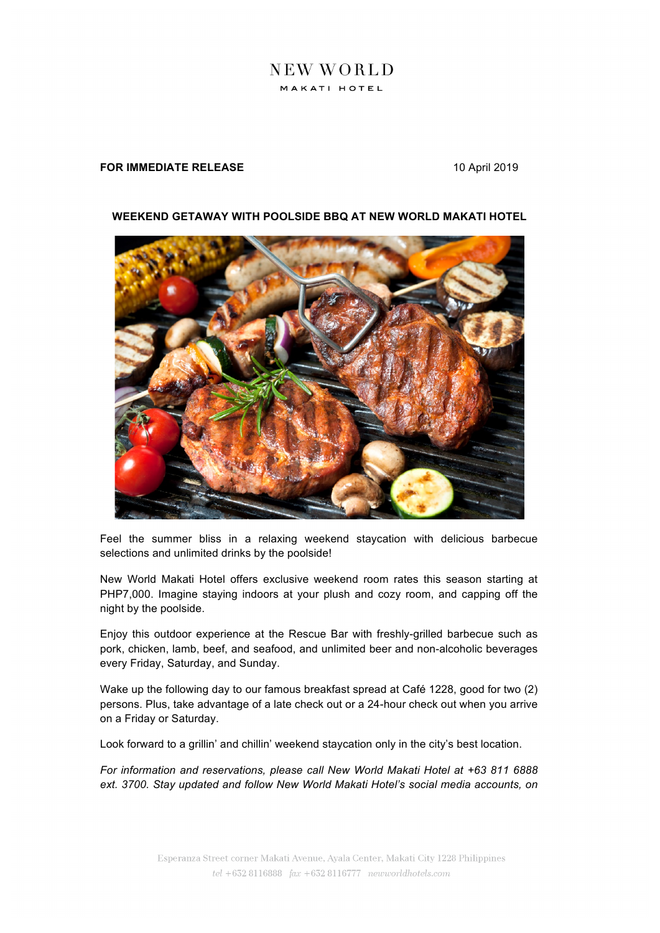## NEW WORLD MAKATI HOTEL

## **FOR IMMEDIATE RELEASE** 10 April 2019



## **WEEKEND GETAWAY WITH POOLSIDE BBQ AT NEW WORLD MAKATI HOTEL**

Feel the summer bliss in a relaxing weekend staycation with delicious barbecue selections and unlimited drinks by the poolside!

New World Makati Hotel offers exclusive weekend room rates this season starting at PHP7,000. Imagine staying indoors at your plush and cozy room, and capping off the night by the poolside.

Enjoy this outdoor experience at the Rescue Bar with freshly-grilled barbecue such as pork, chicken, lamb, beef, and seafood, and unlimited beer and non-alcoholic beverages every Friday, Saturday, and Sunday.

Wake up the following day to our famous breakfast spread at Café 1228, good for two (2) persons. Plus, take advantage of a late check out or a 24-hour check out when you arrive on a Friday or Saturday.

Look forward to a grillin' and chillin' weekend staycation only in the city's best location.

*For information and reservations, please call New World Makati Hotel at +63 811 6888 ext. 3700. Stay updated and follow New World Makati Hotel's social media accounts, on*